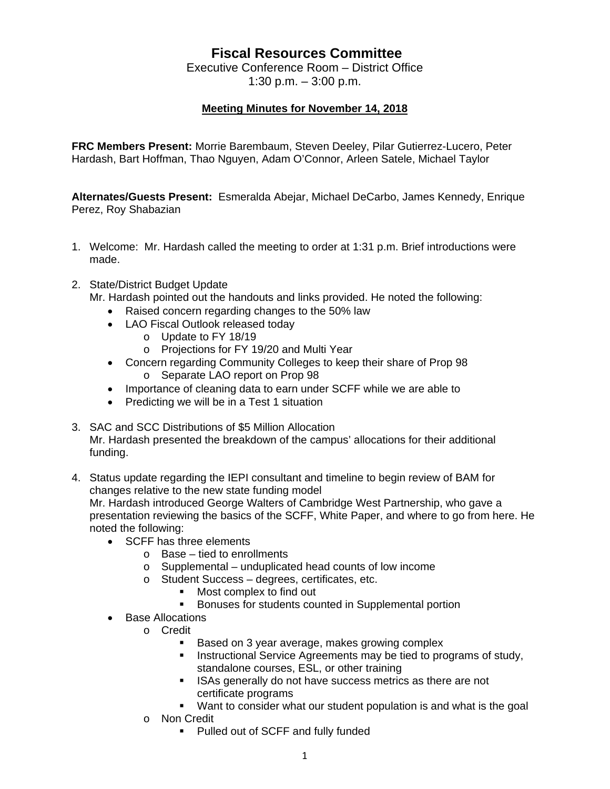## **Fiscal Resources Committee**

Executive Conference Room – District Office 1:30 p.m. – 3:00 p.m.

## **Meeting Minutes for November 14, 2018**

**FRC Members Present:** Morrie Barembaum, Steven Deeley, Pilar Gutierrez-Lucero, Peter Hardash, Bart Hoffman, Thao Nguyen, Adam O'Connor, Arleen Satele, Michael Taylor

**Alternates/Guests Present:** Esmeralda Abejar, Michael DeCarbo, James Kennedy, Enrique Perez, Roy Shabazian

- 1. Welcome: Mr. Hardash called the meeting to order at 1:31 p.m. Brief introductions were made.
- 2. State/District Budget Update

Mr. Hardash pointed out the handouts and links provided. He noted the following:

- Raised concern regarding changes to the 50% law
- LAO Fiscal Outlook released today
	- o Update to FY 18/19
	- o Projections for FY 19/20 and Multi Year
- Concern regarding Community Colleges to keep their share of Prop 98 o Separate LAO report on Prop 98
- Importance of cleaning data to earn under SCFF while we are able to
- Predicting we will be in a Test 1 situation
- 3. SAC and SCC Distributions of \$5 Million Allocation Mr. Hardash presented the breakdown of the campus' allocations for their additional funding.
- 4. Status update regarding the IEPI consultant and timeline to begin review of BAM for changes relative to the new state funding model Mr. Hardash introduced George Walters of Cambridge West Partnership, who gave a presentation reviewing the basics of the SCFF, White Paper, and where to go from here. He noted the following:
	- SCFF has three elements
		- o Base tied to enrollments
		- o Supplemental unduplicated head counts of low income
		- o Student Success degrees, certificates, etc.
			- **Most complex to find out**
			- **Bonuses for students counted in Supplemental portion**
	- Base Allocations
		- o Credit
			- Based on 3 year average, makes growing complex
			- **Instructional Service Agreements may be tied to programs of study,** standalone courses, ESL, or other training
			- **ISAs generally do not have success metrics as there are not** certificate programs
			- Want to consider what our student population is and what is the goal
		- o Non Credit
			- Pulled out of SCFF and fully funded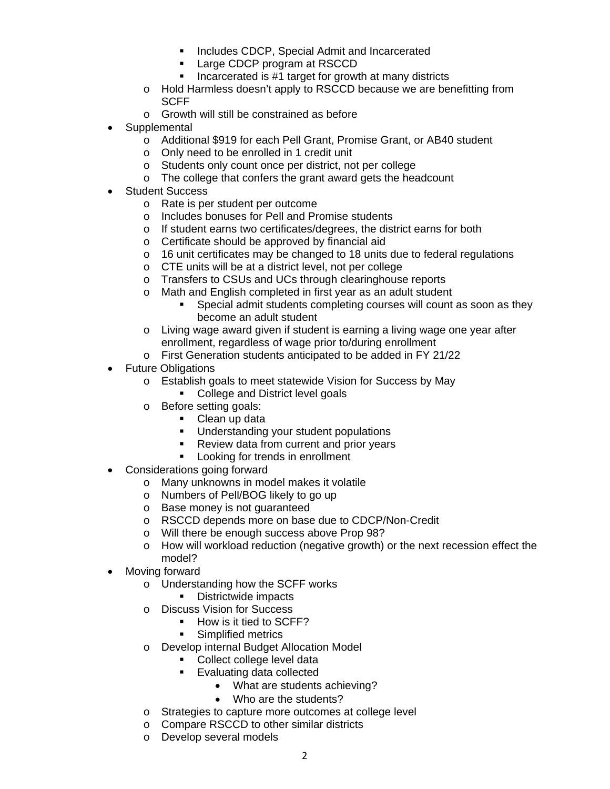- **Includes CDCP, Special Admit and Incarcerated**
- **Large CDCP program at RSCCD**
- Incarcerated is  $#1$  target for growth at many districts
- o Hold Harmless doesn't apply to RSCCD because we are benefitting from **SCFF**
- o Growth will still be constrained as before
- **Supplemental** 
	- o Additional \$919 for each Pell Grant, Promise Grant, or AB40 student
	- o Only need to be enrolled in 1 credit unit
	- o Students only count once per district, not per college
	- o The college that confers the grant award gets the headcount
- Student Success
	- o Rate is per student per outcome
	- o Includes bonuses for Pell and Promise students
	- o If student earns two certificates/degrees, the district earns for both
	- o Certificate should be approved by financial aid
	- o 16 unit certificates may be changed to 18 units due to federal regulations
	- o CTE units will be at a district level, not per college
	- o Transfers to CSUs and UCs through clearinghouse reports
	- o Math and English completed in first year as an adult student
		- Special admit students completing courses will count as soon as they become an adult student
	- o Living wage award given if student is earning a living wage one year after enrollment, regardless of wage prior to/during enrollment
	- o First Generation students anticipated to be added in FY 21/22
- Future Obligations
	- o Establish goals to meet statewide Vision for Success by May
		- College and District level goals
	- o Before setting goals:
		- Clean up data
		- **Understanding your student populations**
		- **Review data from current and prior years**
		- **Looking for trends in enrollment**
- Considerations going forward
	- o Many unknowns in model makes it volatile
	- o Numbers of Pell/BOG likely to go up
	- o Base money is not guaranteed
	- o RSCCD depends more on base due to CDCP/Non-Credit
	- o Will there be enough success above Prop 98?
	- o How will workload reduction (negative growth) or the next recession effect the model?
- Moving forward
	- o Understanding how the SCFF works
		- **Districtwide impacts**
	- o Discuss Vision for Success
		- How is it tied to SCFF?
			- **Simplified metrics**
	- o Develop internal Budget Allocation Model
		- Collect college level data
		- Evaluating data collected
			- What are students achieving?
			- Who are the students?
	- o Strategies to capture more outcomes at college level
	- o Compare RSCCD to other similar districts
	- o Develop several models